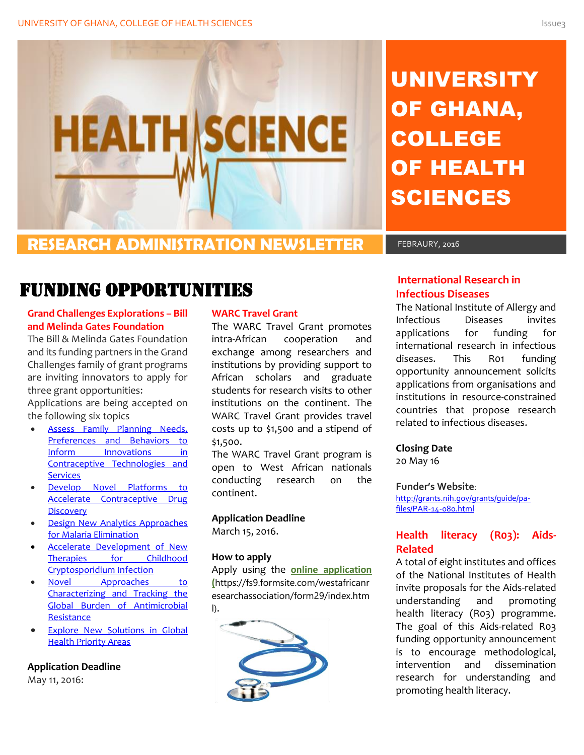

# UNIVERSITY OF GHANA, COLLEGE OF HEALTH SCIENCES

**RESEARCH ADMINISTRATION NEWSLETTER** FEBRAURY, 2016

# Funding Opportunities

#### **Grand Challenges Explorations – Bill and Melinda Gates Foundation**

The Bill & Melinda Gates Foundation and its funding partners in the Grand Challenges family of grant programs are inviting innovators to apply for three grant opportunities:

Applications are being accepted on the following six topics

- Assess [Family Planning Needs,](http://response.notifications.gatesfoundation.org/t?r=198&c=3949218&l=422163&ctl=4CDEBA8:DF3B802E7EC90A5EBFBF88FDB7F598C1412CB4CDEE114493&)  [Preferences and Behaviors to](http://response.notifications.gatesfoundation.org/t?r=198&c=3949218&l=422163&ctl=4CDEBA8:DF3B802E7EC90A5EBFBF88FDB7F598C1412CB4CDEE114493&)  Inform Innovations in [Contraceptive Technologies and](http://response.notifications.gatesfoundation.org/t?r=198&c=3949218&l=422163&ctl=4CDEBA8:DF3B802E7EC90A5EBFBF88FDB7F598C1412CB4CDEE114493&)  **[Services](http://response.notifications.gatesfoundation.org/t?r=198&c=3949218&l=422163&ctl=4CDEBA8:DF3B802E7EC90A5EBFBF88FDB7F598C1412CB4CDEE114493&)**
- Develop [Novel Platforms to](http://response.notifications.gatesfoundation.org/t?r=198&c=3949218&l=422163&ctl=4CDEBA9:DF3B802E7EC90A5EBFBF88FDB7F598C1412CB4CDEE114493&)  [Accelerate Contraceptive Drug](http://response.notifications.gatesfoundation.org/t?r=198&c=3949218&l=422163&ctl=4CDEBA9:DF3B802E7EC90A5EBFBF88FDB7F598C1412CB4CDEE114493&)  **[Discovery](http://response.notifications.gatesfoundation.org/t?r=198&c=3949218&l=422163&ctl=4CDEBA9:DF3B802E7EC90A5EBFBF88FDB7F598C1412CB4CDEE114493&)**
- Design [New Analytics Approaches](http://response.notifications.gatesfoundation.org/t?r=198&c=3949218&l=422163&ctl=4CDEBAA:DF3B802E7EC90A5EBFBF88FDB7F598C1412CB4CDEE114493&)  [for Malaria Elimination](http://response.notifications.gatesfoundation.org/t?r=198&c=3949218&l=422163&ctl=4CDEBAA:DF3B802E7EC90A5EBFBF88FDB7F598C1412CB4CDEE114493&)
- Accelerate [Development of New](http://response.notifications.gatesfoundation.org/t?r=198&c=3949218&l=422163&ctl=4CDEBAB:DF3B802E7EC90A5EBFBF88FDB7F598C1412CB4CDEE114493&)  [Therapies for Childhood](http://response.notifications.gatesfoundation.org/t?r=198&c=3949218&l=422163&ctl=4CDEBAB:DF3B802E7EC90A5EBFBF88FDB7F598C1412CB4CDEE114493&)  [Cryptosporidium Infection](http://response.notifications.gatesfoundation.org/t?r=198&c=3949218&l=422163&ctl=4CDEBAB:DF3B802E7EC90A5EBFBF88FDB7F598C1412CB4CDEE114493&)
- Novel Approaches to [Characterizing and Tracking the](http://response.notifications.gatesfoundation.org/t?r=198&c=3949218&l=422163&ctl=4CDEBAC:DF3B802E7EC90A5EBFBF88FDB7F598C1412CB4CDEE114493&)  [Global Burden of Antimicrobial](http://response.notifications.gatesfoundation.org/t?r=198&c=3949218&l=422163&ctl=4CDEBAC:DF3B802E7EC90A5EBFBF88FDB7F598C1412CB4CDEE114493&)  **[Resistance](http://response.notifications.gatesfoundation.org/t?r=198&c=3949218&l=422163&ctl=4CDEBAC:DF3B802E7EC90A5EBFBF88FDB7F598C1412CB4CDEE114493&)**
- Explore [New Solutions in Global](http://response.notifications.gatesfoundation.org/t?r=198&c=3949218&l=422163&ctl=4CDEBAD:DF3B802E7EC90A5EBFBF88FDB7F598C1412CB4CDEE114493&)  [Health Priority Areas](http://response.notifications.gatesfoundation.org/t?r=198&c=3949218&l=422163&ctl=4CDEBAD:DF3B802E7EC90A5EBFBF88FDB7F598C1412CB4CDEE114493&)

**Application Deadline**

May 11, 2016:

#### **WARC Travel Grant**

The WARC Travel Grant promotes intra-African cooperation and exchange among researchers and institutions by providing support to African scholars and graduate students for research visits to other institutions on the continent. The WARC Travel Grant provides travel costs up to \$1,500 and a stipend of \$1,500.

The WARC Travel Grant program is open to West African nationals conducting research on the continent.

#### **Application Deadline**

March 15, 2016.

#### **How to apply**

Apply using the **[online application](https://fs9.formsite.com/westafricanresearchassociation/form29/index.html) (**https://fs9.formsite.com/westafricanr esearchassociation/form29/index.htm l).



### **International Research in Infectious Diseases**

The National Institute of Allergy and Infectious Diseases invites applications for funding for international research in infectious diseases. This R01 funding opportunity announcement solicits applications from organisations and institutions in resource-constrained countries that propose research related to infectious diseases.

#### **Closing Date**

20 May 16

#### **Funder's Website**:

[http://grants.nih.gov/grants/guide/pa](http://grants.nih.gov/grants/guide/pa-files/PAR-14-080.html)[files/PAR-14-080.html](http://grants.nih.gov/grants/guide/pa-files/PAR-14-080.html)

#### **Health literacy (R03): Aids-Related**

A total of eight institutes and offices of the National Institutes of Health invite proposals for the Aids-related understanding and promoting health literacy (R03) programme. The goal of this Aids-related R03 funding opportunity announcement is to encourage methodological, intervention and dissemination research for understanding and promoting health literacy.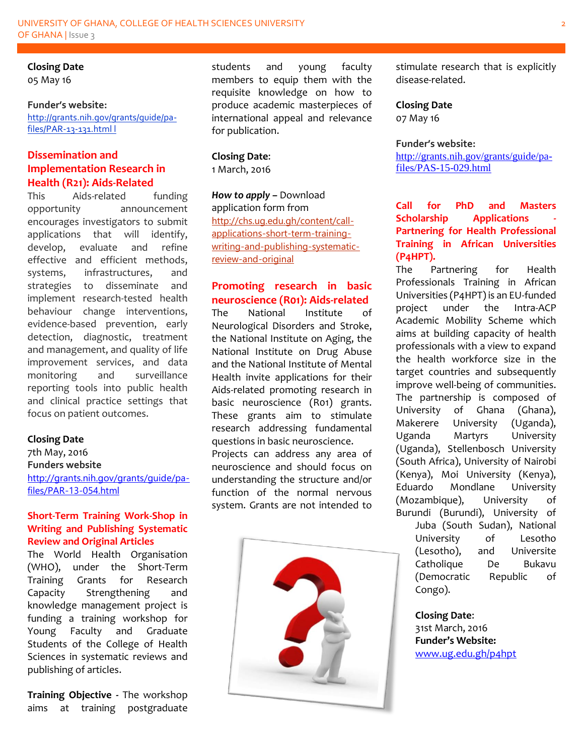**Closing Date** 05 May 16

#### **Funder's website:**

[http://grants.nih.gov/grants/guide/pa](http://grants.nih.gov/grants/guide/pa-files/PAR-14-007.html)[files/PAR-13-131.html l](http://grants.nih.gov/grants/guide/pa-files/PAR-14-007.html)

#### **Dissemination and Implementation Research in Health (R21): Aids-Related**

This Aids-related funding opportunity announcement encourages investigators to submit applications that will identify, develop, evaluate and refine effective and efficient methods, systems, infrastructures, and strategies to disseminate and implement research-tested health behaviour change interventions, evidence-based prevention, early detection, diagnostic, treatment and management, and quality of life improvement services, and data monitoring and surveillance reporting tools into public health and clinical practice settings that focus on patient outcomes.

#### **Closing Date**

7th May, 2016 **Funders website** [http://grants.nih.gov/grants/guide/pa](http://grants.nih.gov/grants/guide/pa-files/PAR-13-054.html)[files/PAR-13-054.html](http://grants.nih.gov/grants/guide/pa-files/PAR-13-054.html)

#### **Short-Term Training Work-Shop in Writing and Publishing Systematic Review and Original Articles**

The World Health Organisation (WHO), under the Short-Term Training Grants for Research Capacity Strengthening and knowledge management project is funding a training workshop for Young Faculty and Graduate Students of the College of Health Sciences in systematic reviews and publishing of articles.

**Training Objective -** The workshop aims at training postgraduate students and young faculty members to equip them with the requisite knowledge on how to produce academic masterpieces of international appeal and relevance for publication.

#### **Closing Date**:

1 March, 2016

*How to apply –* Download application form from [http://chs.ug.edu.gh/content/call](http://chs.ug.edu.gh/content/call-applications-short-term-training-writing-and-publishing-systematic-review-and-original)[applications-short-term-training](http://chs.ug.edu.gh/content/call-applications-short-term-training-writing-and-publishing-systematic-review-and-original)[writing-and-publishing-systematic](http://chs.ug.edu.gh/content/call-applications-short-term-training-writing-and-publishing-systematic-review-and-original)[review-and-original](http://chs.ug.edu.gh/content/call-applications-short-term-training-writing-and-publishing-systematic-review-and-original)

#### **Promoting research in basic neuroscience (R01): Aids-related**

The National Institute of Neurological Disorders and Stroke, the National Institute on Aging, the National Institute on Drug Abuse and the National Institute of Mental Health invite applications for their Aids-related promoting research in basic neuroscience (R01) grants. These grants aim to stimulate research addressing fundamental questions in basic neuroscience.

Projects can address any area of neuroscience and should focus on understanding the structure and/or function of the normal nervous system. Grants are not intended to



stimulate research that is explicitly disease-related.

**Closing Date** 07 May 16

**Funder's website:** [http://grants.nih.gov/grants/guide/pa](http://grants.nih.gov/grants/guide/pa-files/PAS-15-029.html)[files/PAS-15-029.html](http://grants.nih.gov/grants/guide/pa-files/PAS-15-029.html)

#### **Call for PhD and Masters Scholarship Applications - Partnering for Health Professional Training in African Universities (P4HPT).**

The Partnering for Health Professionals Training in African Universities (P4HPT) is an EU-funded project under the Intra-ACP Academic Mobility Scheme which aims at building capacity of health professionals with a view to expand the health workforce size in the target countries and subsequently improve well-being of communities. The partnership is composed of University of Ghana (Ghana), Makerere University (Uganda), Uganda Martyrs University (Uganda), Stellenbosch University (South Africa), University of Nairobi (Kenya), Moi University (Kenya), Eduardo Mondlane University (Mozambique), University of Burundi (Burundi), University of Juba (South Sudan), National University of Lesotho

(Lesotho), and Universite Catholique De Bukavu (Democratic Republic of Congo).

**Closing Date**: 31st March, 2016 **Funder's Website:** [www.ug.edu.gh/p4hpt](http://www.ug.edu.gh/p4hpt)